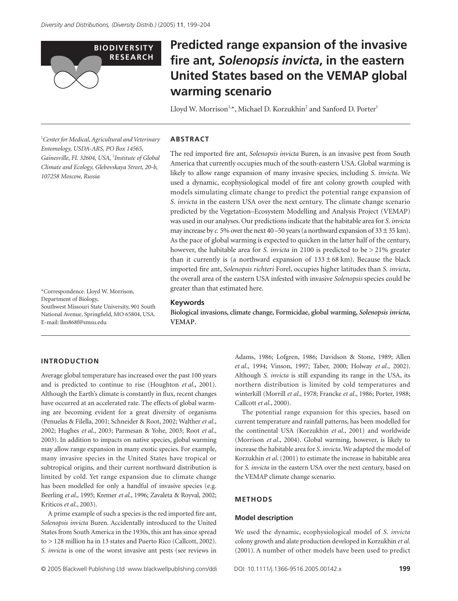

# **Predicted range expansion of the invasive fire ant,** *Solenopsis invicta***, in the eastern United States based on the VEMAP global warming scenario**

Lloyd W. Morrison<sup>1,\*</sup>, Michael D. Korzukhin<sup>2</sup> and Sanford D. Porter<sup>1</sup>

1 *Center for Medical, Agricultural and Veterinary Entomology, USDA-ARS, PO Box 14565, Gainesville, FL 32604, USA,* <sup>2</sup> *Institute of Global Climate and Ecology, Glebovskaya Street, 20-b, 107258 Moscow, Russia* 

## **ABSTRACT**

The red imported fire ant, *Solenopsis invicta* Buren, is an invasive pest from South America that currently occupies much of the south-eastern USA. Global warming is likely to allow range expansion of many invasive species, including *S. invicta*. We used a dynamic, ecophysiological model of fire ant colony growth coupled with models simulating climate change to predict the potential range expansion of *S. invicta* in the eastern USA over the next century. The climate change scenario predicted by the Vegetation–Ecosystem Modelling and Analysis Project (VEMAP) was used in our analyses. Our predictions indicate that the habitable area for *S. invicta* may increase by  $c$ . 5% over the next 40–50 years (a northward expansion of  $33 \pm 35$  km). As the pace of global warming is expected to quicken in the latter half of the century, however, the habitable area for *S. invicta* in 2100 is predicted to be > 21% greater than it currently is (a northward expansion of  $133 \pm 68$  km). Because the black imported fire ant, *Solenopsis richteri* Forel, occupies higher latitudes than *S. invicta*, the overall area of the eastern USA infested with invasive *Solenopsis* species could be greater than that estimated here.

#### **Keywords**

**Biological invasions, climate change, Formicidae, global warming,** *Solenopsis invicta***, VEMAP.**

\*Correspondence. Lloyd W. Morrison, Department of Biology, Southwest Missouri State University, 901 South National Avenue, Springfield, MO 65804, USA. E-mail: llm868f@smsu.edu

## **INTRODUCTION**

Average global temperature has increased over the past 100 years and is predicted to continue to rise (Houghton *et al*., 2001). Although the Earth's climate is constantly in flux, recent changes have occurred at an accelerated rate. The effects of global warming are becoming evident for a great diversity of organisms (Penuelas & Filella, 2001; Schneider & Root, 2002; Walther *et al*., 2002; Hughes *et al*., 2003; Parmesan & Yohe, 2003; Root *et al*., 2003). In addition to impacts on native species, global warming may allow range expansion in many exotic species. For example, many invasive species in the United States have tropical or subtropical origins, and their current northward distribution is limited by cold. Yet range expansion due to climate change has been modelled for only a handful of invasive species (e.g. Beerling *et al*., 1995; Kremer *et al*., 1996; Zavaleta & Royval, 2002; Kriticos *et al*., 2003).

A prime example of such a species is the red imported fire ant, *Solenopsis invicta* Buren. Accidentally introduced to the United States from South America in the 1930s, this ant has since spread to > 128 million ha in 13 states and Puerto Rico (Callcott, 2002). *S. invicta* is one of the worst invasive ant pests (see reviews in Adams, 1986; Lofgren, 1986; Davidson & Stone, 1989; Allen *et al*., 1994; Vinson, 1997; Taber, 2000; Holway *et al*., 2002). Although *S. invicta* is still expanding its range in the USA, its northern distribution is limited by cold temperatures and winterkill (Morrill *et al*., 1978; Francke *et al*., 1986; Porter, 1988; Callcott *et al*., 2000).

The potential range expansion for this species, based on current temperature and rainfall patterns, has been modelled for the continental USA (Korzukhin *et al*., 2001) and worldwide (Morrison *et al*., 2004). Global warming, however, is likely to increase the habitable area for *S. invicta*. We adapted the model of Korzukhin *et al*. (2001) to estimate the increase in habitable area for *S. invicta* in the eastern USA over the next century, based on the VEMAP climate change scenario.

## **METHODS**

#### **Model description**

We used the dynamic, ecophysiological model of *S. invicta* colony growth and alate production developed in Korzukhin *et al*. (2001). A number of other models have been used to predict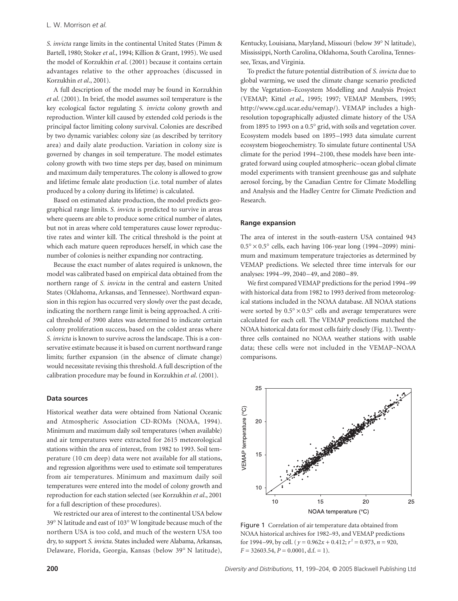*S. invicta* range limits in the continental United States (Pimm & Bartell, 1980; Stoker *et al*., 1994; Killion & Grant, 1995). We used the model of Korzukhin *et al*. (2001) because it contains certain advantages relative to the other approaches (discussed in Korzukhin *et al*., 2001).

A full description of the model may be found in Korzukhin *et al*. (2001). In brief, the model assumes soil temperature is the key ecological factor regulating *S. invicta* colony growth and reproduction. Winter kill caused by extended cold periods is the principal factor limiting colony survival. Colonies are described by two dynamic variables: colony size (as described by territory area) and daily alate production. Variation in colony size is governed by changes in soil temperature. The model estimates colony growth with two time steps per day, based on minimum and maximum daily temperatures. The colony is allowed to grow and lifetime female alate production (i.e. total number of alates produced by a colony during its lifetime) is calculated.

Based on estimated alate production, the model predicts geographical range limits. *S. invicta* is predicted to survive in areas where queens are able to produce some critical number of alates, but not in areas where cold temperatures cause lower reproductive rates and winter kill. The critical threshold is the point at which each mature queen reproduces herself, in which case the number of colonies is neither expanding nor contracting.

Because the exact number of alates required is unknown, the model was calibrated based on empirical data obtained from the northern range of *S. invicta* in the central and eastern United States (Oklahoma, Arkansas, and Tennessee). Northward expansion in this region has occurred very slowly over the past decade, indicating the northern range limit is being approached. A critical threshold of 3900 alates was determined to indicate certain colony proliferation success, based on the coldest areas where *S. invicta* is known to survive across the landscape. This is a conservative estimate because it is based on current northward range limits; further expansion (in the absence of climate change) would necessitate revising this threshold. A full description of the calibration procedure may be found in Korzukhin *et al*. (2001).

#### **Data sources**

Historical weather data were obtained from National Oceanic and Atmospheric Association CD-ROMs (NOAA, 1994). Minimum and maximum daily soil temperatures (when available) and air temperatures were extracted for 2615 meteorological stations within the area of interest, from 1982 to 1993. Soil temperature (10 cm deep) data were not available for all stations, and regression algorithms were used to estimate soil temperatures from air temperatures. Minimum and maximum daily soil temperatures were entered into the model of colony growth and reproduction for each station selected (see Korzukhin *et al*., 2001 for a full description of these procedures).

We restricted our area of interest to the continental USA below 39° N latitude and east of 103° W longitude because much of the northern USA is too cold, and much of the western USA too dry, to support *S. invicta*. States included were Alabama, Arkansas, Delaware, Florida, Georgia, Kansas (below 39° N latitude),

Kentucky, Louisiana, Maryland, Missouri (below 39° N latitude), Mississippi, North Carolina, Oklahoma, South Carolina, Tennessee, Texas, and Virginia.

To predict the future potential distribution of *S. invicta* due to global warming, we used the climate change scenario predicted by the Vegetation–Ecosystem Modelling and Analysis Project (VEMAP; Kittel *et al*., 1995; 1997; VEMAP Members, 1995; [http://www.cgd.ucar.edu/vemap/\).](http://www.cgd.ucar.edu/vemap/) VEMAP includes a highresolution topographically adjusted climate history of the USA from 1895 to 1993 on a 0.5° grid, with soils and vegetation cover. Ecosystem models based on 1895–1993 data simulate current ecosystem biogeochemistry. To simulate future continental USA climate for the period 1994–2100, these models have been integrated forward using coupled atmospheric–ocean global climate model experiments with transient greenhouse gas and sulphate aerosol forcing, by the Canadian Centre for Climate Modelling and Analysis and the Hadley Centre for Climate Prediction and Research.

#### **Range expansion**

The area of interest in the south-eastern USA contained 943  $0.5^{\circ} \times 0.5^{\circ}$  cells, each having 106-year long (1994–2099) minimum and maximum temperature trajectories as determined by VEMAP predictions. We selected three time intervals for our analyses: 1994–99, 2040–49, and 2080–89.

We first compared VEMAP predictions for the period 1994–99 with historical data from 1982 to 1993 derived from meteorological stations included in the NOAA database. All NOAA stations were sorted by  $0.5^{\circ} \times 0.5^{\circ}$  cells and average temperatures were calculated for each cell. The VEMAP predictions matched the NOAA historical data for most cells fairly closely (Fig. 1). Twentythree cells contained no NOAA weather stations with usable data; these cells were not included in the VEMAP–NOAA comparisons.



Figure 1 Correlation of air temperature data obtained from NOAA historical archives for 1982–93, and VEMAP predictions for 1994–99, by cell. ( $y = 0.962x + 0.412$ ;  $r^2 = 0.973$ ,  $n = 920$ ,  $F = 32603.54, P = 0.0001, d.f. = 1$ .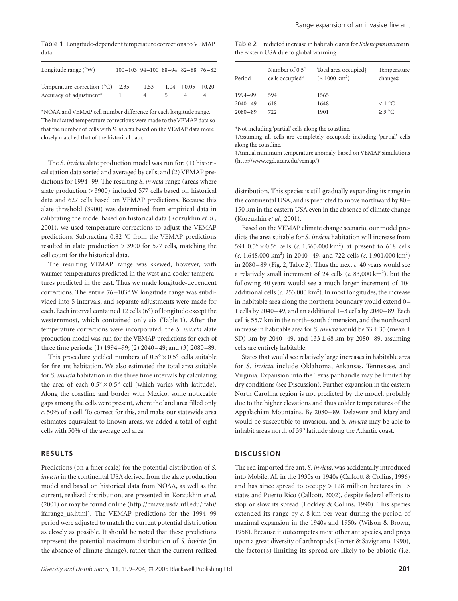Table 1 Longitude-dependent temperature corrections to VEMAP data

| Longitude range $(^{\circ}W)$                                         | 100-103 94-100 88-94 82-88 76-82 |                                      |   |  |
|-----------------------------------------------------------------------|----------------------------------|--------------------------------------|---|--|
| Temperature correction $(^{\circ}C)$ -2.35<br>Accuracy of adjustment* |                                  | $-1.53$ $-1.04$ $+0.05$ $+0.20$<br>4 | 5 |  |

\*NOAA and VEMAP cell number difference for each longitude range. The indicated temperature corrections were made to the VEMAP data so that the number of cells with *S. invicta* based on the VEMAP data more closely matched that of the historical data.

Table 2 Predicted increase in habitable area for *Solenopsis invicta* in the eastern USA due to global warming

| Period      | Number of $0.5^\circ$<br>cells occupied* | Total area occupied†<br>(x 1000 km <sup>2</sup> ) | Temperature<br>change‡ |
|-------------|------------------------------------------|---------------------------------------------------|------------------------|
| 1994-99     | 594                                      | 1565                                              |                        |
| $2040 - 49$ | 618                                      | 1648                                              | < 1 °C                 |
| $2080 - 89$ | 722                                      | 1901                                              | $\geq$ 3 °C            |

\*Not including 'partial' cells along the coastline.

†Assuming all cells are completely occupied; including 'partial' cells along the coastline.

‡Annual minimum temperature anomaly, based on VEMAP simulations [\(http://www.cgd.ucar.edu/vemap/\).](http://www.cgd.ucar.edu/vemap/).)

The *S. invicta* alate production model was run for: (1) historical station data sorted and averaged by cells; and (2) VEMAP predictions for 1994–99. The resulting *S. invicta* range (areas where alate production > 3900) included 577 cells based on historical data and 627 cells based on VEMAP predictions. Because this alate threshold (3900) was determined from empirical data in calibrating the model based on historical data (Korzukhin *et al*., 2001), we used temperature corrections to adjust the VEMAP predictions. Subtracting 0.82 °C from the VEMAP predictions resulted in alate production > 3900 for 577 cells, matching the cell count for the historical data.

The resulting VEMAP range was skewed, however, with warmer temperatures predicted in the west and cooler temperatures predicted in the east. Thus we made longitude-dependent corrections. The entire 76–103° W longitude range was subdivided into 5 intervals, and separate adjustments were made for each. Each interval contained 12 cells (6°) of longitude except the westernmost, which contained only six (Table 1). After the temperature corrections were incorporated, the *S. invicta* alate production model was run for the VEMAP predictions for each of three time periods: (1) 1994–99; (2) 2040–49; and (3) 2080–89.

This procedure yielded numbers of  $0.5^{\circ} \times 0.5^{\circ}$  cells suitable for fire ant habitation. We also estimated the total area suitable for *S. invicta* habitation in the three time intervals by calculating the area of each  $0.5^{\circ} \times 0.5^{\circ}$  cell (which varies with latitude). Along the coastline and border with Mexico, some noticeable gaps among the cells were present, where the land area filled only *c.* 50% of a cell. To correct for this, and make our statewide area estimates equivalent to known areas, we added a total of eight cells with 50% of the average cell area.

## **RESULTS**

Predictions (on a finer scale) for the potential distribution of *S. invicta* in the continental USA derived from the alate production model and based on historical data from NOAA, as well as the current, realized distribution, are presented in Korzukhin *et al*. (2001) or may be found online [\(http://cmave.usda.ufl.edu/ifahi/](http://cmave.usda.ufl.edu/ifahi/) ifarange\_us.html). The VEMAP predictions for the 1994–99 period were adjusted to match the current potential distribution as closely as possible. It should be noted that these predictions represent the potential maximum distribution of *S. invicta* (in the absence of climate change), rather than the current realized

distribution. This species is still gradually expanding its range in the continental USA, and is predicted to move northward by 80– 150 km in the eastern USA even in the absence of climate change (Korzukhin *et al*., 2001).

Based on the VEMAP climate change scenario, our model predicts the area suitable for *S. invicta* habitation will increase from 594  $0.5^{\circ} \times 0.5^{\circ}$  cells (*c.* 1,565,000 km<sup>2</sup>) at present to 618 cells (*c.* 1,648,000 km<sup>2</sup>) in 2040–49, and 722 cells (*c.* 1,901,000 km<sup>2</sup>) in 2080–89 (Fig. 2, Table 2). Thus the next *c.* 40 years would see a relatively small increment of 24 cells (c. 83,000 km<sup>2</sup>), but the following 40 years would see a much larger increment of 104 additional cells  $(c. 253,000 \text{ km}^2)$ . In most longitudes, the increase in habitable area along the northern boundary would extend 0– 1 cells by 2040–49, and an additional 1–3 cells by 2080–89. Each cell is 55.7 km in the north–south dimension, and the northward increase in habitable area for *S. invicta* would be 33 ± 35 (mean ± SD) km by 2040–49, and  $133 \pm 68$  km by 2080–89, assuming cells are entirely habitable.

States that would see relatively large increases in habitable area for *S. invicta* include Oklahoma, Arkansas, Tennessee, and Virginia. Expansion into the Texas panhandle may be limited by dry conditions (see Discussion). Further expansion in the eastern North Carolina region is not predicted by the model, probably due to the higher elevations and thus colder temperatures of the Appalachian Mountains. By 2080–89, Delaware and Maryland would be susceptible to invasion, and *S. invicta* may be able to inhabit areas north of 39° latitude along the Atlantic coast.

## **DISCUSSION**

The red imported fire ant, *S. invicta*, was accidentally introduced into Mobile, AL in the 1930s or 1940s (Callcott & Collins, 1996) and has since spread to occupy > 128 million hectares in 13 states and Puerto Rico (Callcott, 2002), despite federal efforts to stop or slow its spread (Lockley & Collins, 1990). This species extended its range by *c.* 8 km per year during the period of maximal expansion in the 1940s and 1950s (Wilson & Brown, 1958). Because it outcompetes most other ant species, and preys upon a great diversity of arthropods (Porter & Savignano, 1990), the factor(s) limiting its spread are likely to be abiotic (i.e.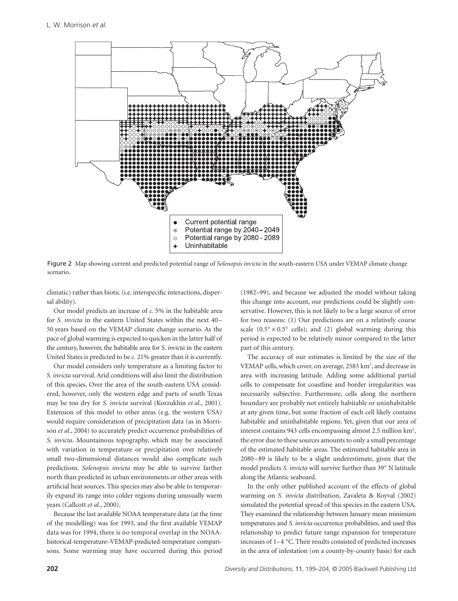

Figure 2 Map showing current and predicted potential range of *Solenopsis invicta* in the south-eastern USA under VEMAP climate change scenario.

climatic) rather than biotic (i.e. interspecific interactions, dispersal ability).

Our model predicts an increase of *c.* 5% in the habitable area for *S. invicta* in the eastern United States within the next 40– 50 years based on the VEMAP climate change scenario. As the pace of global warming is expected to quicken in the latter half of the century, however, the habitable area for *S. invicta* in the eastern United States is predicted to be *c.* 21% greater than it is currently.

Our model considers only temperature as a limiting factor to *S. invicta* survival. Arid conditions will also limit the distribution of this species. Over the area of the south-eastern USA considered, however, only the western edge and parts of south Texas may be too dry for *S. invicta* survival (Korzukhin *et al*., 2001). Extension of this model to other areas (e.g. the western USA) would require consideration of precipitation data (as in Morrison *et al*., 2004) to accurately predict occurrence probabilities of *S. invicta*. Mountainous topography, which may be associated with variation in temperature or precipitation over relatively small two-dimensional distances would also complicate such predictions. *Solenopsis invicta* may be able to survive farther north than predicted in urban environments or other areas with artificial heat sources. This species may also be able to temporarily expand its range into colder regions during unusually warm years (Callcott *et al*., 2000).

Because the last available NOAA temperature data (at the time of the modelling) was for 1993, and the first available VEMAP data was for 1994, there is no temporal overlap in the NOAAhistorical-temperature–VEMAP-predicted-temperature comparisons. Some warming may have occurred during this period

(1982–99), and because we adjusted the model without taking this change into account, our predictions could be slightly conservative. However, this is not likely to be a large source of error for two reasons: (1) Our predictions are on a relatively course scale  $(0.5^{\circ} \times 0.5^{\circ}$  cells); and (2) global warming during this period is expected to be relatively minor compared to the latter part of this century.

The accuracy of our estimates is limited by the size of the VEMAP cells, which cover, on average, 2583 km<sup>2</sup>, and decrease in area with increasing latitude. Adding some additional partial cells to compensate for coastline and border irregularities was necessarily subjective. Furthermore, cells along the northern boundary are probably not entirely habitable or uninhabitable at any given time, but some fraction of each cell likely contains habitable and uninhabitable regions. Yet, given that our area of interest contains 943 cells encompassing almost 2.5 million km<sup>2</sup>, the error due to these sources amounts to only a small percentage of the estimated habitable areas. The estimated habitable area in 2080–89 is likely to be a slight underestimate, given that the model predicts *S. invicta* will survive further than 39° N latitude along the Atlantic seaboard.

In the only other published account of the effects of global warming on *S. invicta* distribution, Zavaleta & Royval (2002) simulated the potential spread of this species in the eastern USA. They examined the relationship between January mean minimum temperatures and *S. invicta* occurrence probabilities, and used this relationship to predict future range expansion for temperature increases of 1–4 °C. Their results consisted of predicted increases in the area of infestation (on a county-by-county basis) for each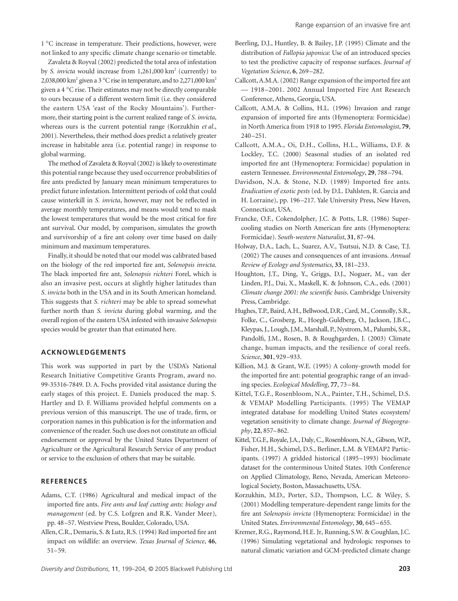1 °C increase in temperature. Their predictions, however, were not linked to any specific climate change scenario or timetable.

Zavaleta & Royval (2002) predicted the total area of infestation by *S. invicta* would increase from 1,261,000 km<sup>2</sup> (currently) to 2,038,000 km<sup>2</sup> given a 3 °C rise in temperature, and to 2,271,000 km<sup>2</sup> given a 4 °C rise. Their estimates may not be directly comparable to ours because of a different western limit (i.e. they considered the eastern USA 'east of the Rocky Mountains'). Furthermore, their starting point is the current realized range of *S. invicta*, whereas ours is the current potential range (Korzukhin *et al*., 2001). Nevertheless, their method does predict a relatively greater increase in habitable area (i.e. potential range) in response to global warming.

The method of Zavaleta & Royval (2002) is likely to overestimate this potential range because they used occurrence probabilities of fire ants predicted by January mean minimum temperatures to predict future infestation. Intermittent periods of cold that could cause winterkill in *S. invicta*, however, may not be reflected in average monthly temperatures, and means would tend to mask the lowest temperatures that would be the most critical for fire ant survival. Our model, by comparison, simulates the growth and survivorship of a fire ant colony over time based on daily minimum and maximum temperatures.

Finally, it should be noted that our model was calibrated based on the biology of the red imported fire ant, *Solenopsis invicta*. The black imported fire ant, *Solenopsis richteri* Forel, which is also an invasive pest, occurs at slightly higher latitudes than *S. invicta* both in the USA and in its South American homeland. This suggests that *S. richteri* may be able to spread somewhat further north than *S. invicta* during global warming, and the overall region of the eastern USA infested with invasive *Solenopsis* species would be greater than that estimated here.

## **ACKNOWLEDGEMENTS**

This work was supported in part by the USDA's National Research Initiative Competitive Grants Program, award no. 99-35316-7849. D. A. Fochs provided vital assistance during the early stages of this project. E. Daniels produced the map. S. Hartley and D. F. Williams provided helpful comments on a previous version of this manuscript. The use of trade, firm, or corporation names in this publication is for the information and convenience of the reader. Such use does not constitute an official endorsement or approval by the United States Department of Agriculture or the Agricultural Research Service of any product or service to the exclusion of others that may be suitable.

## **REFERENCES**

- Adams, C.T. (1986) Agricultural and medical impact of the imported fire ants. *Fire ants and leaf cutting ants: biology and management* (ed. by C.S. Lofgren and R.K. Vander Meer), pp. 48–57. Westview Press, Boulder, Colorado, USA.
- Allen, C.R., Demaris, S. & Lutz, R.S. (1994) Red imported fire ant impact on wildlife: an overview. *Texas Journal of Science*, **46**, 51–59.
- Beerling, D.J., Huntley, B. & Bailey, J.P. (1995) Climate and the distribution of *Fallopia japonica*: Use of an introduced species to test the predictive capacity of response surfaces. *Journal of Vegetation Science*, **6**, 269–282.
- Callcott, A.M.A. (2002) Range expansion of the imported fire ant — 1918–2001. 2002 Annual Imported Fire Ant Research Conference, Athens, Georgia, USA.
- Callcott, A.M.A. & Collins, H.L. (1996) Invasion and range expansion of imported fire ants (Hymenoptera: Formicidae) in North America from 1918 to 1995. *Florida Entomologist*, **79**,  $240 - 251$ .
- Callcott, A.M.A., Oi, D.H., Collins, H.L., Williams, D.F. & Lockley, T.C. (2000) Seasonal studies of an isolated red imported fire ant (Hymenoptera: Formicidae) population in eastern Tennessee. *Environmental Entomology*, **29**, 788–794.
- Davidson, N.A. & Stone, N.D. (1989) Imported fire ants. *Eradication of exotic pests* (ed. by D.L. Dahlsten, R. Garcia and H. Lorraine), pp. 196–217. Yale University Press, New Haven, Connecticut, USA.
- Francke, O.F., Cokendolpher, J.C. & Potts, L.R. (1986) Supercooling studies on North American fire ants (Hymenoptera: Formicidae). *South-western Naturalist*, **31**, 87–94.
- Holway, D.A., Lach, L., Suarez, A.V., Tsutsui, N.D. & Case, T.J. (2002) The causes and consequences of ant invasions. *Annual Review of Ecology and Systematics*, **33**, 181–233.
- Houghton, J.T., Ding, Y., Griggs, D.J., Noguer, M., van der Linden, P.J., Dai, X., Maskell, K. & Johnson, C.A., eds. (2001) *Climate change 2001: the scientific basis*. Cambridge University Press, Cambridge.
- Hughes, T.P., Baird, A.H., Bellwood, D.R., Card, M., Connolly, S.R., Folke, C., Grosberg, R., Hoegh-Guldberg, O., Jackson, J.B.C., Kleypas, J., Lough, J.M., Marshall, P., Nystrom, M., Palumbi, S.R., Pandolfi, J.M., Rosen, B. & Roughgarden, J. (2003) Climate change, human impacts, and the resilience of coral reefs. *Science*, **301**, 929–933.
- Killion, M.J. & Grant, W.E. (1995) A colony-growth model for the imported fire ant: potential geographic range of an invading species. *Ecological Modelling*, **77**, 73–84.
- Kittel, T.G.F., Rosenbloom, N.A., Painter, T.H., Schimel, D.S. & VEMAP Modelling Participants. (1995) The VEMAP integrated database for modelling United States ecosystem/ vegetation sensitivity to climate change. *Journal of Biogeography*, **22**, 857–862.
- Kittel, T.G.F., Royale, J.A., Daly, C., Rosenbloom, N.A., Gibson, W.P., Fisher, H.H., Schimel, D.S., Berliner, L.M. & VEMAP2 Participants. (1997) A gridded historical (1895–1993) bioclimate dataset for the conterminous United States. 10th Conference on Applied Climatology, Reno, Nevada, American Meteorological Society, Boston, Massachusetts, USA.
- Korzukhin, M.D., Porter, S.D., Thompson, L.C. & Wiley, S. (2001) Modelling temperature-dependent range limits for the fire ant *Solenopsis invicta* (Hymenoptera: Formicidae) in the United States. *Environmental Entomology*, **30**, 645–655.
- Kremer, R.G., Raymond, H.E. Jr, Running, S.W. & Coughlan, J.C. (1996) Simulating vegetational and hydrologic responses to natural climatic variation and GCM-predicted climate change